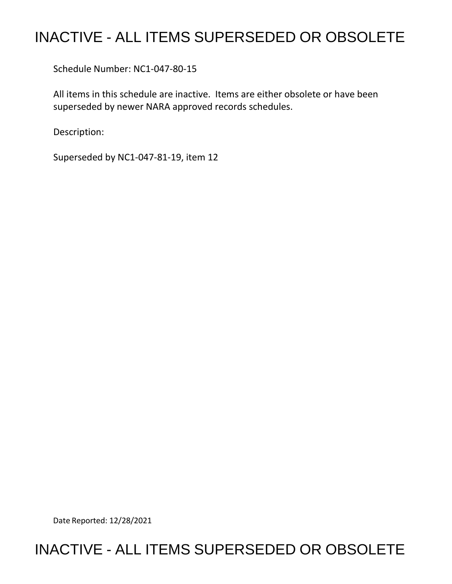# INACTIVE - ALL ITEMS SUPERSEDED OR OBSOLETE

Schedule Number: NC1-047-80-15

All items in this schedule are inactive. Items are either obsolete or have been superseded by newer NARA approved records schedules.

Description:

Superseded by NC1-047-81-19, item 12

Date Reported: 12/28/2021

## INACTIVE - ALL ITEMS SUPERSEDED OR OBSOLETE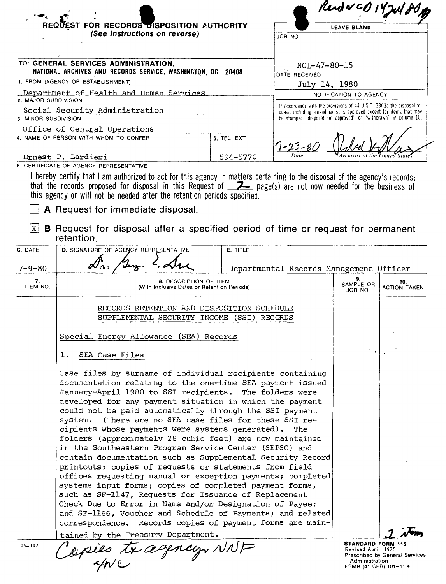|                                                                                                     | REQUEST FOR RECORDS DISPOSITION AUTHORITY                                                                                                                                                  |                                       | Rend VCD 14 Jul 80<br><b>LEAVE BLANK</b>                                                                                                                                                                       |                            |                            |
|-----------------------------------------------------------------------------------------------------|--------------------------------------------------------------------------------------------------------------------------------------------------------------------------------------------|---------------------------------------|----------------------------------------------------------------------------------------------------------------------------------------------------------------------------------------------------------------|----------------------------|----------------------------|
|                                                                                                     | (See Instructions on reverse)                                                                                                                                                              |                                       | JOB NO                                                                                                                                                                                                         |                            |                            |
|                                                                                                     |                                                                                                                                                                                            |                                       |                                                                                                                                                                                                                |                            |                            |
| TO: GENERAL SERVICES ADMINISTRATION,<br>NATIONAL ARCHIVES AND RECORDS SERVICE, WASHINGTON, DC 20408 |                                                                                                                                                                                            | $NC1 - 47 - 80 - 15$<br>DATE RECEIVED |                                                                                                                                                                                                                |                            |                            |
| 1. FROM (AGENCY OR ESTABLISHMENT)                                                                   |                                                                                                                                                                                            |                                       | July 14, 1980                                                                                                                                                                                                  |                            |                            |
| Department of Health and Human Services<br>2. MAJOR SUBDIVISION                                     |                                                                                                                                                                                            |                                       | NOTIFICATION TO AGENCY                                                                                                                                                                                         |                            |                            |
|                                                                                                     | Social Security Administration                                                                                                                                                             |                                       | In accordance with the provisions of 44 U.S.C. 3303a the disposal re-<br>quest, including amendments, is approved except for items that may<br>be stamped "disposal not approved" or "withdrawn" in column 10. |                            |                            |
| 3. MINOR SUBDIVISION                                                                                | Office of Central Operations                                                                                                                                                               |                                       |                                                                                                                                                                                                                |                            |                            |
|                                                                                                     | 4. NAME OF PERSON WITH WHOM TO CONFER                                                                                                                                                      | 5. TEL EXT                            | $7 - 23 - 80$                                                                                                                                                                                                  |                            |                            |
|                                                                                                     | Ernest P. Lardieri<br>6. CERTIFICATE OF AGENCY REPRESENTATIVE                                                                                                                              | 594-5770                              |                                                                                                                                                                                                                |                            |                            |
| lx l<br>C. DATE                                                                                     | <b>A</b> Request for immediate disposal.<br><b>B</b> Request for disposal after a specified period of time or request for permanent<br>retention.<br>D. SIGNATURE OF AGENCY REPRESENTATIVE | E. TITLE                              |                                                                                                                                                                                                                |                            |                            |
| $7 - 9 - 80$                                                                                        |                                                                                                                                                                                            |                                       | Departmental Records Management Officer                                                                                                                                                                        |                            |                            |
| 7.<br>ITEM NO.                                                                                      | <b>8. DESCRIPTION OF ITEM</b><br>(With Inclusive Dates or Retention Periods)                                                                                                               |                                       |                                                                                                                                                                                                                | 9.<br>SAMPLE OR<br>JOB NO  | 10.<br><b>ACTION TAKEN</b> |
|                                                                                                     | RECORDS RETENTION AND DISPOSITION SCHEDULE<br>SUPPLEMENTAL SECURITY INCOME (SSI) RECORDS                                                                                                   |                                       |                                                                                                                                                                                                                |                            |                            |
|                                                                                                     | Special Energy Allowance (SEA) Records                                                                                                                                                     |                                       |                                                                                                                                                                                                                |                            |                            |
|                                                                                                     |                                                                                                                                                                                            |                                       |                                                                                                                                                                                                                |                            |                            |
|                                                                                                     | SEA Case Files<br>ı.                                                                                                                                                                       |                                       |                                                                                                                                                                                                                | $\mathcal{F}(\mathcal{A})$ |                            |

tained by the Treasury Department.<br>Copies tx assembly, NNF

**STANDARD FORM 115**  Revised April, 1975 Prescribed by General Services Adm1mstralton FPMR (41 CFR) 101-11 **4** 

بوود

115-107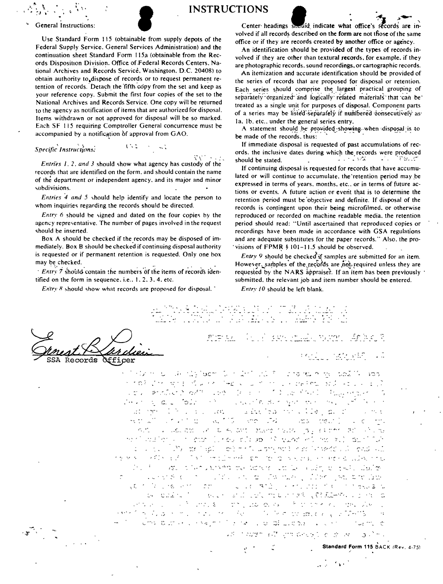Use Standard Form 115 (obtainable from supply depots of the Federal Supply Service. General Services Administration) and the continuation sheet Standard Form 115a (obtainable from the Rec• ords Disposition Division. Office of Federal Records Centers. National Archives and Records Service. Washington. D.C. 20408) to obtain authority to,dispose of records or to request permanent re· tention of records. Detach the 'fifth copy from the set and keep as your reference copy. Submit the first four copies of the set to the National Archives and Records Service. One copy will be returned to the agency as notification of items that are authorized for disposal. Items withdrawn or not approved for disposal will be so marked. Each SF 115 requiring Comptroller General concurrence must be accompanied by a notification of approval from GAO.

### $\ Specific$  *Instructions.*

SSA Records

 $\ddot{N}$  ,  $\ddot{N}$  ,  $\ddot{N}$  ,  $\ddot{N}$ *Entries 1, 2, and 3 should show what agency has custody of the* records that are identified on the form. and should contain the name of the department or independent agency, and its major and minor '-ubdivisions.

 $1.32$ 

*Entries 4 and* 5 ,hould help identify and locate the person to whom inquiries regarding the records should be directed.

*Entry 6* should be signed and dated on the four copies by the agency representative. The number of pages involved in the request should be inserted.

Box A should be checked if the records may be disposed of im· mediately. Box B should be checked if continuing disposal authority is requested or if permanent retention is requested. Only one box may be checked.

· *Entry* 7 should contain the numbers of the items of records identified on the form in sequence. i.e.,  $1, 2, 3, 4$ , etc.

*Entry 8* should show what records are proposed for disposal.  $\overline{ }$ 

Officer

INSTRUCTIONS<br>General Instructions:<br>lise Standard Form 115 (obtainable from supply depots of the volved if all records described on the form are not those of the same volved if all records described on the form are not tfiose of the same office or if they are records created by another office or agency.

> An identification should be provided of the types of records in· volved if they are other than textural **records.** for example. if they are photographic records. sound recordings. or cartographic records.

> An itemization and accurate identification should be provided of the series of records thal are proposed for disposal or retention. Each series should comprise the largest practical grouping of separately organized and logically related materials that can be treated as a single unit for purposes of disposal. Component parts of a series may be listed separately if numbered consecutively as Ia, Ib, etc., under the general series entry.

> A statement should be provided showing when disposal is to be made of the records, thus:

> If immediate disposal is requested of past accumulations of rec• ords. the inclusive dates during which **the** records were produced should be stated. ~ · · *:* ,.•:; • · · -,· *~:.* -,:-

> If continuing disposal is requested for records that have accumulated or will continue to accumulate. the'retention period may ,be expressed in terms of years. months, etc., or in terms of future actions or events. A future action or event that is to determine the retention period must be objective and definite. If disposal of the records is contingent upon their being microfilmed, or otherwise reproduced or recorded on machine readable media. the retention period should read: "'Until ascertained that reproduced copies or recordings have been made in accordance with GSA regulations and are adequate substitutes for the paper records." Also. the pro· visions of  $FPMR$  § 101-11.5 should be observed.

Entry 9 should be checked if samples are submitted for an item. However. samples of the records are not required unless they are requested by the NARS appraiser. If an item has been previously submitted. the relevant job and item number should be entered.

*Entry 10* should be left blank.

君堂もん fan Breakway voor Gobell **PATE STATE PRO** 

intermine with the learn form interfaces in the many states of the states of the states of the states of the s r to his street of a residence of the construction of the control 《金》 Antilation of The Left of the Control of Carlos Hallands are  $\mathcal{E}(\mathbf{v}|\mathbf{v})$  is and toly in the construction of  $\mathbf{v}$  and  $\mathbf{v}$ .......  $\mathcal{L} = \mathcal{L}$ office a second or to be out their rates pay extract at office That lower in gaze (cross of theory is make minimalized) applied  $\mathcal{L}^{\mathcal{L}}$  ,  $\mathcal{L}^{\mathcal{L}}$  ,  $\mathcal{L}^{\mathcal{L}}$  ,  $\mathcal{L}^{\mathcal{L}}$ rears and the control of the family with the protection and concern and the *:..;\_*  very six in the six of the standard line you are law ga (1970) në vitin 1970.<br>Gjarjen e shtë ndër në vitin 1970 në vitin 1970 në vitin 1970 në vitin 1970 në vitin 1970 në vitin 1970 në ve collect Made in Englished in the models with ما المستقلة المستقلة المعرض المستقلة المستقلة المستقلة المستقلة المستقلة المستقلة المستقلة المستقلة المستقلة ا of the light of the state of the plate of the theory of the state of the , and is the state of  $\mathcal{M}^{\mathcal{A}}$  . As like to another  $\mathcal{A}$  of  $\mathcal{D}^{\mathcal{A}}$  is ...\_ ·, l.· ad in both and considerable of the consideration

**1** •